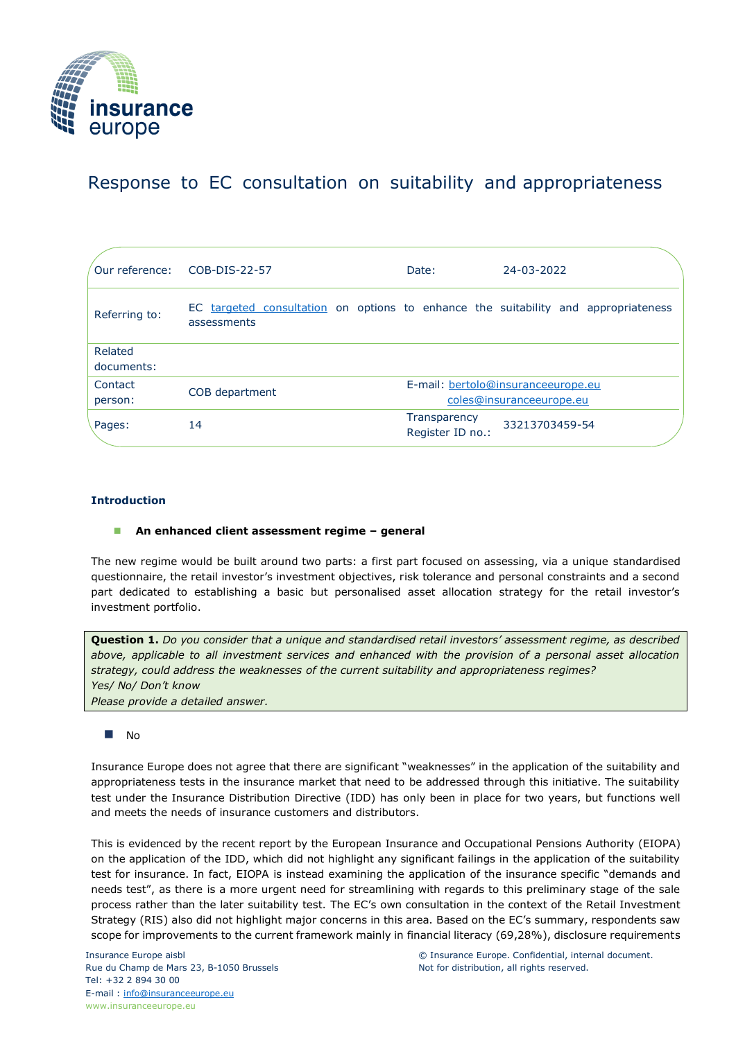

# Response to EC consultation on suitability and appropriateness

|                       | Our reference: COB-DIS-22-57                                                                      | Date:                                                          | 24-03-2022     |
|-----------------------|---------------------------------------------------------------------------------------------------|----------------------------------------------------------------|----------------|
| Referring to:         | EC targeted consultation on options to enhance the suitability and appropriateness<br>assessments |                                                                |                |
| Related<br>documents: |                                                                                                   |                                                                |                |
| Contact<br>person:    | COB department                                                                                    | E-mail: bertolo@insuranceeurope.eu<br>coles@insuranceeurope.eu |                |
| Pages:                | 14                                                                                                | Transparency<br>Register ID no.:                               | 33213703459-54 |

## **Introduction**

#### ◼ **An enhanced client assessment regime – general**

The new regime would be built around two parts: a first part focused on assessing, via a unique standardised questionnaire, the retail investor's investment objectives, risk tolerance and personal constraints and a second part dedicated to establishing a basic but personalised asset allocation strategy for the retail investor's investment portfolio.

**Question 1.** *Do you consider that a unique and standardised retail investors' assessment regime, as described above, applicable to all investment services and enhanced with the provision of a personal asset allocation strategy, could address the weaknesses of the current suitability and appropriateness regimes? Yes/ No/ Don't know Please provide a detailed answer.*

#### ◼ No

Insurance Europe does not agree that there are significant "weaknesses" in the application of the suitability and appropriateness tests in the insurance market that need to be addressed through this initiative. The suitability test under the Insurance Distribution Directive (IDD) has only been in place for two years, but functions well and meets the needs of insurance customers and distributors.

This is evidenced by the recent report by the European Insurance and Occupational Pensions Authority (EIOPA) on the application of the IDD, which did not highlight any significant failings in the application of the suitability test for insurance. In fact, EIOPA is instead examining the application of the insurance specific "demands and needs test", as there is a more urgent need for streamlining with regards to this preliminary stage of the sale process rather than the later suitability test. The EC's own consultation in the context of the Retail Investment Strategy (RIS) also did not highlight major concerns in this area. Based on the EC's summary, respondents saw scope for improvements to the current framework mainly in financial literacy (69,28%), disclosure requirements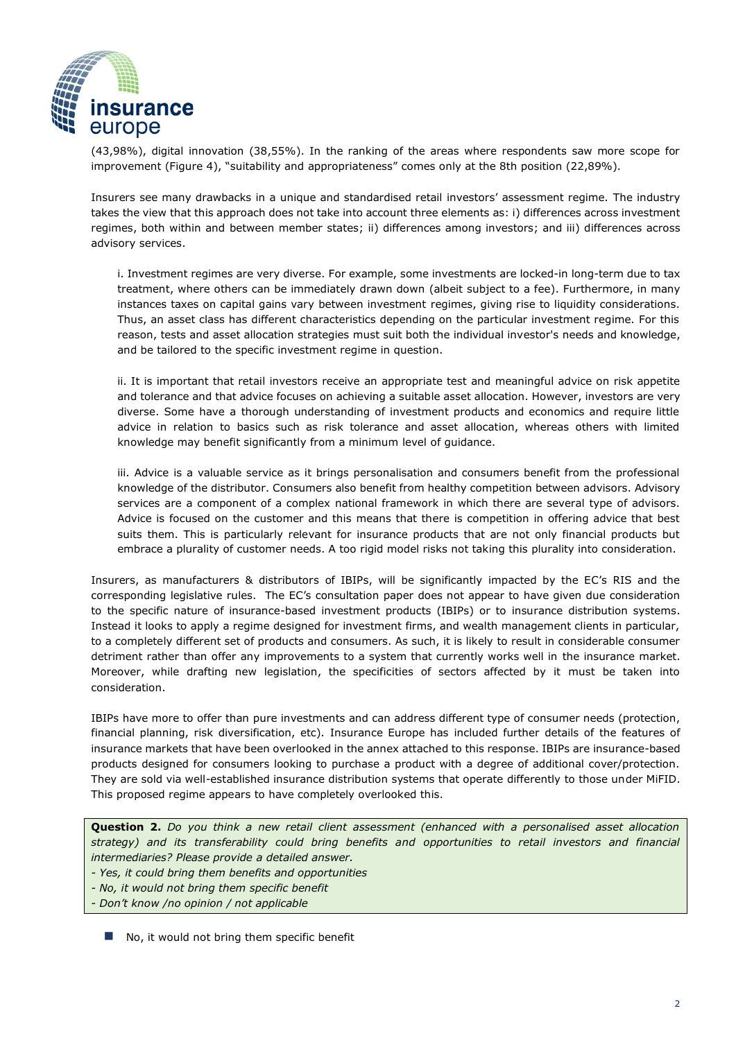

(43,98%), digital innovation (38,55%). In the ranking of the areas where respondents saw more scope for improvement (Figure 4), "suitability and appropriateness" comes only at the 8th position (22,89%).

Insurers see many drawbacks in a unique and standardised retail investors' assessment regime. The industry takes the view that this approach does not take into account three elements as: i) differences across investment regimes, both within and between member states; ii) differences among investors; and iii) differences across advisory services.

i. Investment regimes are very diverse. For example, some investments are locked-in long-term due to tax treatment, where others can be immediately drawn down (albeit subject to a fee). Furthermore, in many instances taxes on capital gains vary between investment regimes, giving rise to liquidity considerations. Thus, an asset class has different characteristics depending on the particular investment regime. For this reason, tests and asset allocation strategies must suit both the individual investor's needs and knowledge, and be tailored to the specific investment regime in question.

ii. It is important that retail investors receive an appropriate test and meaningful advice on risk appetite and tolerance and that advice focuses on achieving a suitable asset allocation. However, investors are very diverse. Some have a thorough understanding of investment products and economics and require little advice in relation to basics such as risk tolerance and asset allocation, whereas others with limited knowledge may benefit significantly from a minimum level of guidance.

iii. Advice is a valuable service as it brings personalisation and consumers benefit from the professional knowledge of the distributor. Consumers also benefit from healthy competition between advisors. Advisory services are a component of a complex national framework in which there are several type of advisors. Advice is focused on the customer and this means that there is competition in offering advice that best suits them. This is particularly relevant for insurance products that are not only financial products but embrace a plurality of customer needs. A too rigid model risks not taking this plurality into consideration.

Insurers, as manufacturers & distributors of IBIPs, will be significantly impacted by the EC's RIS and the corresponding legislative rules. The EC's consultation paper does not appear to have given due consideration to the specific nature of insurance-based investment products (IBIPs) or to insurance distribution systems. Instead it looks to apply a regime designed for investment firms, and wealth management clients in particular, to a completely different set of products and consumers. As such, it is likely to result in considerable consumer detriment rather than offer any improvements to a system that currently works well in the insurance market. Moreover, while drafting new legislation, the specificities of sectors affected by it must be taken into consideration.

IBIPs have more to offer than pure investments and can address different type of consumer needs (protection, financial planning, risk diversification, etc). Insurance Europe has included further details of the features of insurance markets that have been overlooked in the annex attached to this response. IBIPs are insurance-based products designed for consumers looking to purchase a product with a degree of additional cover/protection. They are sold via well-established insurance distribution systems that operate differently to those under MiFID. This proposed regime appears to have completely overlooked this.

**Question 2.** *Do you think a new retail client assessment (enhanced with a personalised asset allocation strategy) and its transferability could bring benefits and opportunities to retail investors and financial intermediaries? Please provide a detailed answer.*

*- Yes, it could bring them benefits and opportunities*

- *- No, it would not bring them specific benefit*
- *- Don't know /no opinion / not applicable*
	- No, it would not bring them specific benefit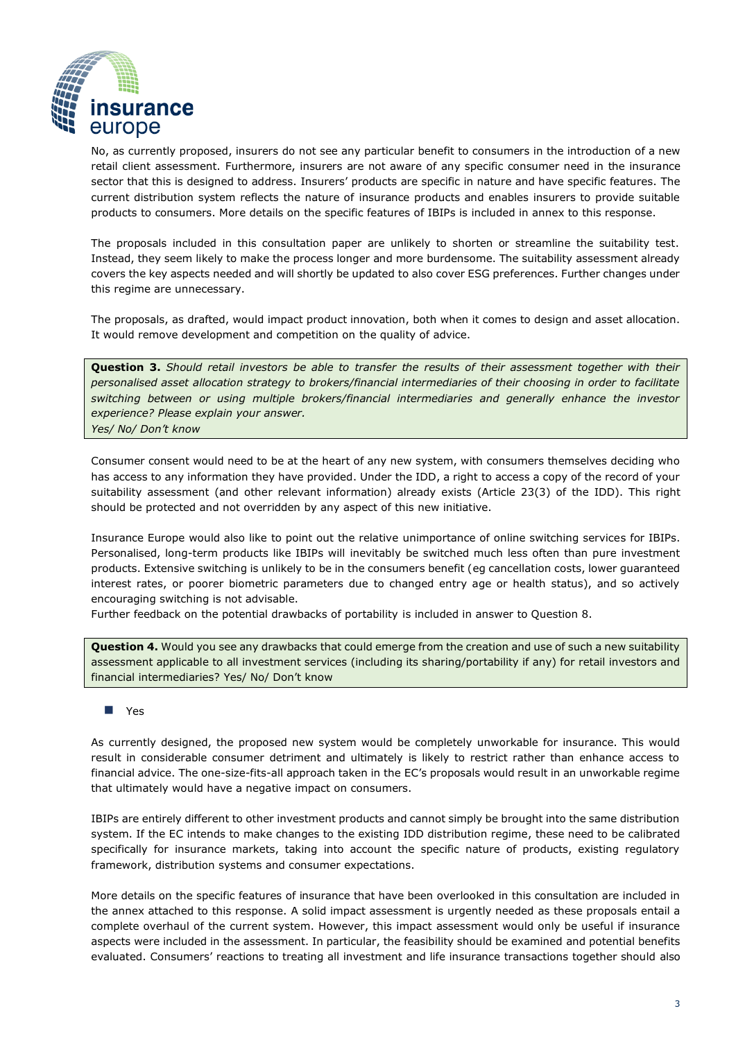

No, as currently proposed, insurers do not see any particular benefit to consumers in the introduction of a new retail client assessment. Furthermore, insurers are not aware of any specific consumer need in the insurance sector that this is designed to address. Insurers' products are specific in nature and have specific features. The current distribution system reflects the nature of insurance products and enables insurers to provide suitable products to consumers. More details on the specific features of IBIPs is included in annex to this response.

The proposals included in this consultation paper are unlikely to shorten or streamline the suitability test. Instead, they seem likely to make the process longer and more burdensome. The suitability assessment already covers the key aspects needed and will shortly be updated to also cover ESG preferences. Further changes under this regime are unnecessary.

The proposals, as drafted, would impact product innovation, both when it comes to design and asset allocation. It would remove development and competition on the quality of advice.

**Question 3.** *Should retail investors be able to transfer the results of their assessment together with their personalised asset allocation strategy to brokers/financial intermediaries of their choosing in order to facilitate switching between or using multiple brokers/financial intermediaries and generally enhance the investor experience? Please explain your answer. Yes/ No/ Don't know*

Consumer consent would need to be at the heart of any new system, with consumers themselves deciding who has access to any information they have provided. Under the IDD, a right to access a copy of the record of your suitability assessment (and other relevant information) already exists (Article 23(3) of the IDD). This right should be protected and not overridden by any aspect of this new initiative.

Insurance Europe would also like to point out the relative unimportance of online switching services for IBIPs. Personalised, long-term products like IBIPs will inevitably be switched much less often than pure investment products. Extensive switching is unlikely to be in the consumers benefit (eg cancellation costs, lower guaranteed interest rates, or poorer biometric parameters due to changed entry age or health status), and so actively encouraging switching is not advisable.

Further feedback on the potential drawbacks of portability is included in answer to Question 8.

**Question 4.** Would you see any drawbacks that could emerge from the creation and use of such a new suitability assessment applicable to all investment services (including its sharing/portability if any) for retail investors and financial intermediaries? Yes/ No/ Don't know

#### ◼ Yes

As currently designed, the proposed new system would be completely unworkable for insurance. This would result in considerable consumer detriment and ultimately is likely to restrict rather than enhance access to financial advice. The one-size-fits-all approach taken in the EC's proposals would result in an unworkable regime that ultimately would have a negative impact on consumers.

IBIPs are entirely different to other investment products and cannot simply be brought into the same distribution system. If the EC intends to make changes to the existing IDD distribution regime, these need to be calibrated specifically for insurance markets, taking into account the specific nature of products, existing regulatory framework, distribution systems and consumer expectations.

More details on the specific features of insurance that have been overlooked in this consultation are included in the annex attached to this response. A solid impact assessment is urgently needed as these proposals entail a complete overhaul of the current system. However, this impact assessment would only be useful if insurance aspects were included in the assessment. In particular, the feasibility should be examined and potential benefits evaluated. Consumers' reactions to treating all investment and life insurance transactions together should also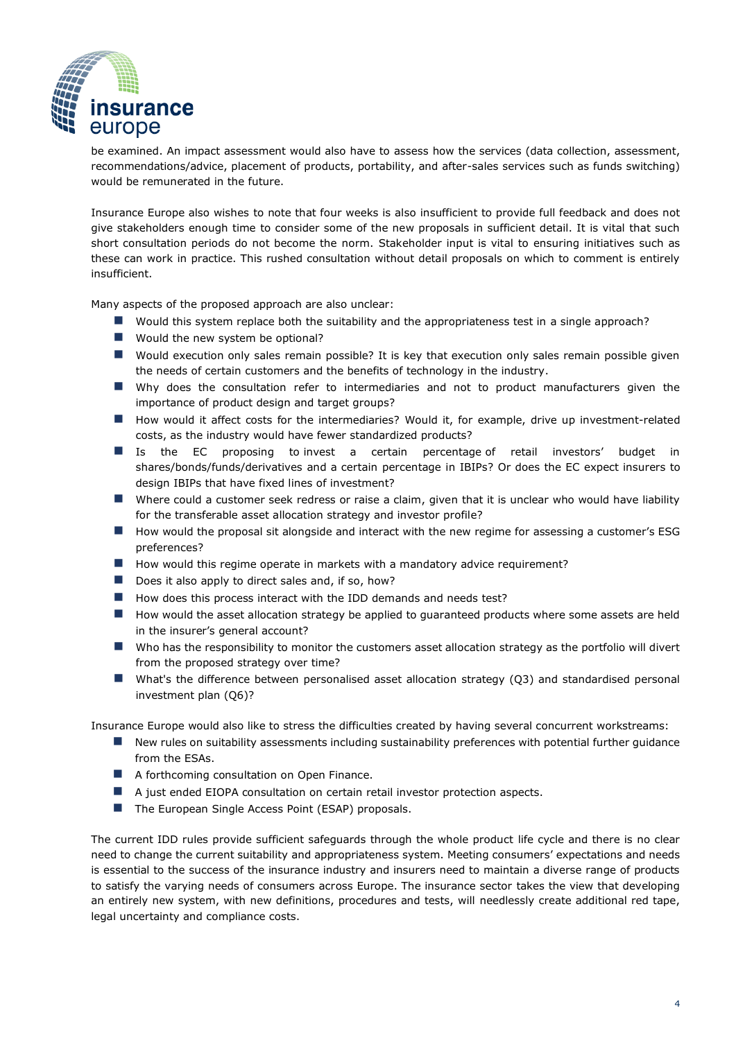

be examined. An impact assessment would also have to assess how the services (data collection, assessment, recommendations/advice, placement of products, portability, and after-sales services such as funds switching) would be remunerated in the future.

Insurance Europe also wishes to note that four weeks is also insufficient to provide full feedback and does not give stakeholders enough time to consider some of the new proposals in sufficient detail. It is vital that such short consultation periods do not become the norm. Stakeholder input is vital to ensuring initiatives such as these can work in practice. This rushed consultation without detail proposals on which to comment is entirely insufficient.

Many aspects of the proposed approach are also unclear:

- Would this system replace both the suitability and the appropriateness test in a single approach?
- Would the new system be optional?
- Would execution only sales remain possible? It is key that execution only sales remain possible given the needs of certain customers and the benefits of technology in the industry.
- Why does the consultation refer to intermediaries and not to product manufacturers given the importance of product design and target groups?
- How would it affect costs for the intermediaries? Would it, for example, drive up investment-related costs, as the industry would have fewer standardized products?
- Is the EC proposing to invest a certain percentage of retail investors' budget in shares/bonds/funds/derivatives and a certain percentage in IBIPs? Or does the EC expect insurers to design IBIPs that have fixed lines of investment?
- Where could a customer seek redress or raise a claim, given that it is unclear who would have liability for the transferable asset allocation strategy and investor profile?
- How would the proposal sit alongside and interact with the new regime for assessing a customer's ESG preferences?
- How would this regime operate in markets with a mandatory advice requirement?
- Does it also apply to direct sales and, if so, how?
- How does this process interact with the IDD demands and needs test?
- How would the asset allocation strategy be applied to guaranteed products where some assets are held in the insurer's general account?
- Who has the responsibility to monitor the customers asset allocation strategy as the portfolio will divert from the proposed strategy over time?
- What's the difference between personalised asset allocation strategy (Q3) and standardised personal investment plan (Q6)?

Insurance Europe would also like to stress the difficulties created by having several concurrent workstreams:

- New rules on suitability assessments including sustainability preferences with potential further quidance from the ESAs.
- A forthcoming consultation on Open Finance.
- A just ended EIOPA consultation on certain retail investor protection aspects.
- The European Single Access Point (ESAP) proposals.

The current IDD rules provide sufficient safeguards through the whole product life cycle and there is no clear need to change the current suitability and appropriateness system. Meeting consumers' expectations and needs is essential to the success of the insurance industry and insurers need to maintain a diverse range of products to satisfy the varying needs of consumers across Europe. The insurance sector takes the view that developing an entirely new system, with new definitions, procedures and tests, will needlessly create additional red tape, legal uncertainty and compliance costs.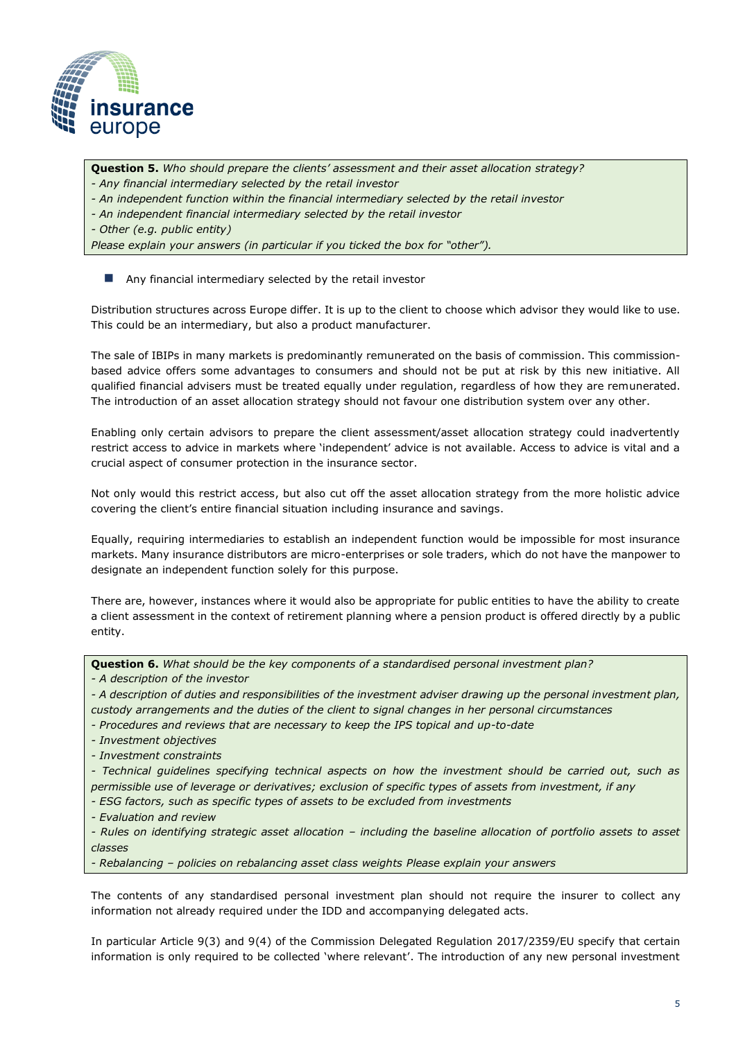

**Question 5.** *Who should prepare the clients' assessment and their asset allocation strategy? - Any financial intermediary selected by the retail investor*

- *- An independent function within the financial intermediary selected by the retail investor*
- *- An independent financial intermediary selected by the retail investor*

*- Other (e.g. public entity)*

*Please explain your answers (in particular if you ticked the box for "other").*

#### $\blacksquare$  Any financial intermediary selected by the retail investor

Distribution structures across Europe differ. It is up to the client to choose which advisor they would like to use. This could be an intermediary, but also a product manufacturer.

The sale of IBIPs in many markets is predominantly remunerated on the basis of commission. This commissionbased advice offers some advantages to consumers and should not be put at risk by this new initiative. All qualified financial advisers must be treated equally under regulation, regardless of how they are remunerated. The introduction of an asset allocation strategy should not favour one distribution system over any other.

Enabling only certain advisors to prepare the client assessment/asset allocation strategy could inadvertently restrict access to advice in markets where 'independent' advice is not available. Access to advice is vital and a crucial aspect of consumer protection in the insurance sector.

Not only would this restrict access, but also cut off the asset allocation strategy from the more holistic advice covering the client's entire financial situation including insurance and savings.

Equally, requiring intermediaries to establish an independent function would be impossible for most insurance markets. Many insurance distributors are micro-enterprises or sole traders, which do not have the manpower to designate an independent function solely for this purpose.

There are, however, instances where it would also be appropriate for public entities to have the ability to create a client assessment in the context of retirement planning where a pension product is offered directly by a public entity.

**Question 6.** *What should be the key components of a standardised personal investment plan?* 

*- A description of the investor*

*- A description of duties and responsibilities of the investment adviser drawing up the personal investment plan, custody arrangements and the duties of the client to signal changes in her personal circumstances*

- *- Procedures and reviews that are necessary to keep the IPS topical and up-to-date*
- *- Investment objectives*
- *- Investment constraints*

*- Technical guidelines specifying technical aspects on how the investment should be carried out, such as permissible use of leverage or derivatives; exclusion of specific types of assets from investment, if any*

*- ESG factors, such as specific types of assets to be excluded from investments*

*- Evaluation and review*

*- Rules on identifying strategic asset allocation – including the baseline allocation of portfolio assets to asset classes*

*- Rebalancing – policies on rebalancing asset class weights Please explain your answers*

The contents of any standardised personal investment plan should not require the insurer to collect any information not already required under the IDD and accompanying delegated acts.

In particular Article 9(3) and 9(4) of the Commission Delegated Regulation 2017/2359/EU specify that certain information is only required to be collected 'where relevant'. The introduction of any new personal investment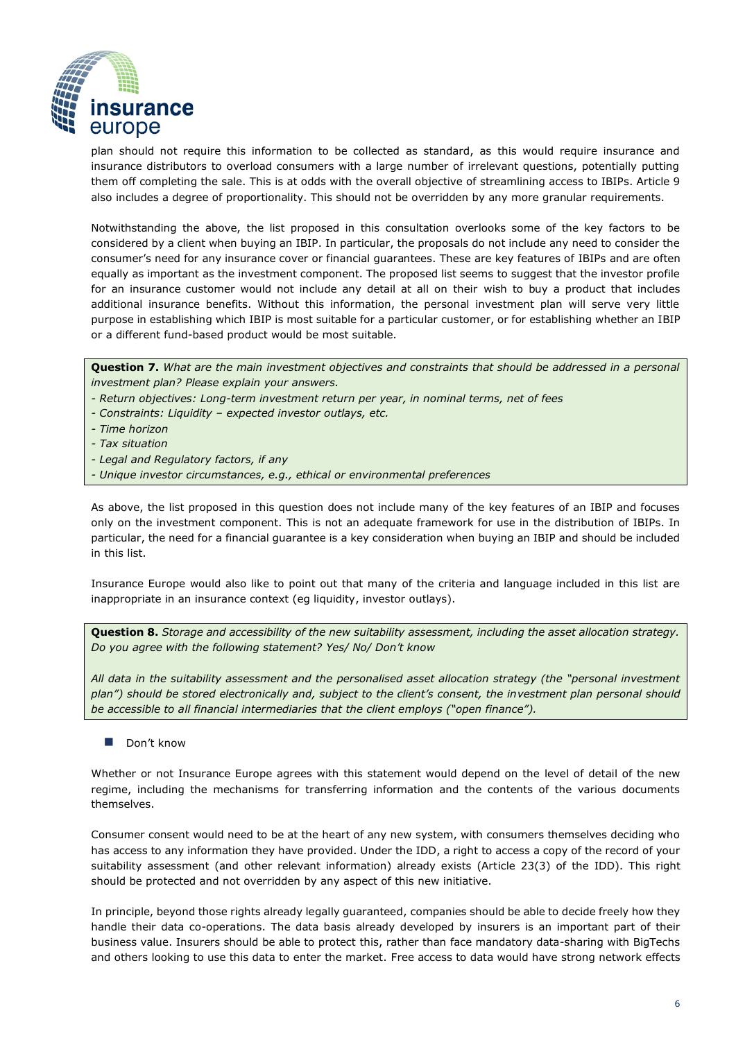

plan should not require this information to be collected as standard, as this would require insurance and insurance distributors to overload consumers with a large number of irrelevant questions, potentially putting them off completing the sale. This is at odds with the overall objective of streamlining access to IBIPs. Article 9 also includes a degree of proportionality. This should not be overridden by any more granular requirements.

Notwithstanding the above, the list proposed in this consultation overlooks some of the key factors to be considered by a client when buying an IBIP. In particular, the proposals do not include any need to consider the consumer's need for any insurance cover or financial guarantees. These are key features of IBIPs and are often equally as important as the investment component. The proposed list seems to suggest that the investor profile for an insurance customer would not include any detail at all on their wish to buy a product that includes additional insurance benefits. Without this information, the personal investment plan will serve very little purpose in establishing which IBIP is most suitable for a particular customer, or for establishing whether an IBIP or a different fund-based product would be most suitable.

**Question 7.** *What are the main investment objectives and constraints that should be addressed in a personal investment plan? Please explain your answers.*

- *- Return objectives: Long-term investment return per year, in nominal terms, net of fees*
- *- Constraints: Liquidity – expected investor outlays, etc.*
- *- Time horizon*
- *- Tax situation*
- *- Legal and Regulatory factors, if any*
- *- Unique investor circumstances, e.g., ethical or environmental preferences*

As above, the list proposed in this question does not include many of the key features of an IBIP and focuses only on the investment component. This is not an adequate framework for use in the distribution of IBIPs. In particular, the need for a financial guarantee is a key consideration when buying an IBIP and should be included in this list.

Insurance Europe would also like to point out that many of the criteria and language included in this list are inappropriate in an insurance context (eg liquidity, investor outlays).

**Question 8.** *Storage and accessibility of the new suitability assessment, including the asset allocation strategy. Do you agree with the following statement? Yes/ No/ Don't know*

*All data in the suitability assessment and the personalised asset allocation strategy (the "personal investment plan") should be stored electronically and, subject to the client's consent, the investment plan personal should be accessible to all financial intermediaries that the client employs ("open finance").*

Don't know

Whether or not Insurance Europe agrees with this statement would depend on the level of detail of the new regime, including the mechanisms for transferring information and the contents of the various documents themselves.

Consumer consent would need to be at the heart of any new system, with consumers themselves deciding who has access to any information they have provided. Under the IDD, a right to access a copy of the record of your suitability assessment (and other relevant information) already exists (Article 23(3) of the IDD). This right should be protected and not overridden by any aspect of this new initiative.

In principle, beyond those rights already legally guaranteed, companies should be able to decide freely how they handle their data co-operations. The data basis already developed by insurers is an important part of their business value. Insurers should be able to protect this, rather than face mandatory data-sharing with BigTechs and others looking to use this data to enter the market. Free access to data would have strong network effects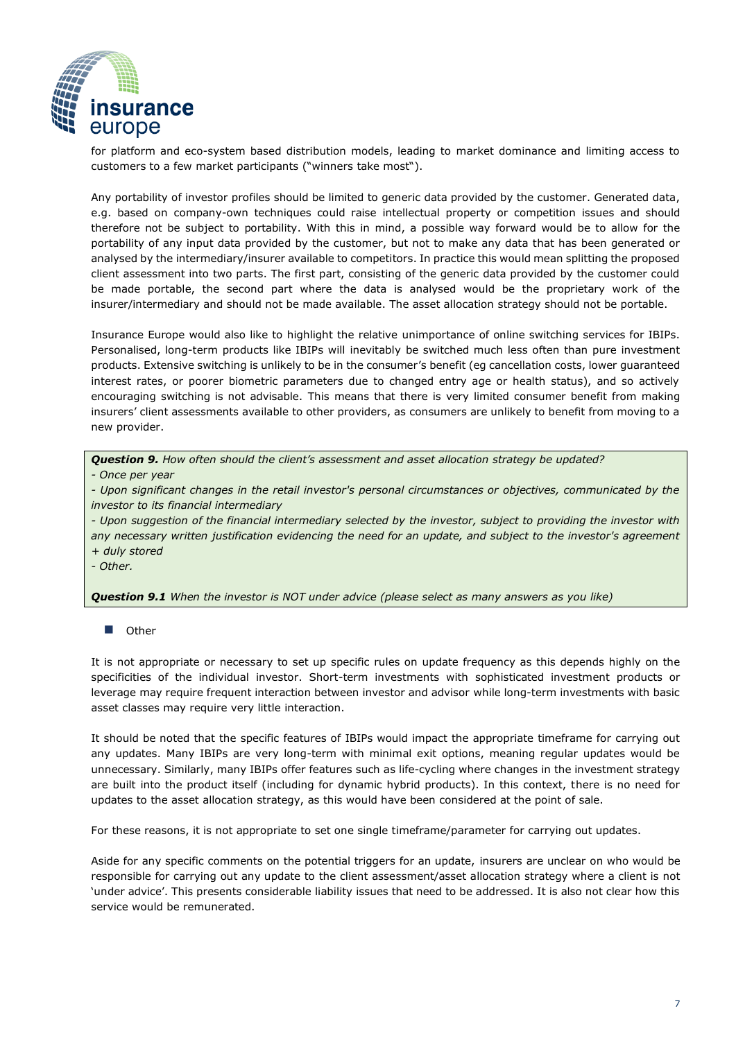

for platform and eco-system based distribution models, leading to market dominance and limiting access to customers to a few market participants ("winners take most").

Any portability of investor profiles should be limited to generic data provided by the customer. Generated data, e.g. based on company-own techniques could raise intellectual property or competition issues and should therefore not be subject to portability. With this in mind, a possible way forward would be to allow for the portability of any input data provided by the customer, but not to make any data that has been generated or analysed by the intermediary/insurer available to competitors. In practice this would mean splitting the proposed client assessment into two parts. The first part, consisting of the generic data provided by the customer could be made portable, the second part where the data is analysed would be the proprietary work of the insurer/intermediary and should not be made available. The asset allocation strategy should not be portable.

Insurance Europe would also like to highlight the relative unimportance of online switching services for IBIPs. Personalised, long-term products like IBIPs will inevitably be switched much less often than pure investment products. Extensive switching is unlikely to be in the consumer's benefit (eg cancellation costs, lower guaranteed interest rates, or poorer biometric parameters due to changed entry age or health status), and so actively encouraging switching is not advisable. This means that there is very limited consumer benefit from making insurers' client assessments available to other providers, as consumers are unlikely to benefit from moving to a new provider.

*Question 9. How often should the client's assessment and asset allocation strategy be updated?*

*- Once per year*

*- Upon significant changes in the retail investor's personal circumstances or objectives, communicated by the investor to its financial intermediary*

*- Upon suggestion of the financial intermediary selected by the investor, subject to providing the investor with any necessary written justification evidencing the need for an update, and subject to the investor's agreement* 

*+ duly stored*

*- Other.*

*Question 9.1 When the investor is NOT under advice (please select as many answers as you like)*

#### ■ Other

It is not appropriate or necessary to set up specific rules on update frequency as this depends highly on the specificities of the individual investor. Short-term investments with sophisticated investment products or leverage may require frequent interaction between investor and advisor while long-term investments with basic asset classes may require very little interaction.

It should be noted that the specific features of IBIPs would impact the appropriate timeframe for carrying out any updates. Many IBIPs are very long-term with minimal exit options, meaning regular updates would be unnecessary. Similarly, many IBIPs offer features such as life-cycling where changes in the investment strategy are built into the product itself (including for dynamic hybrid products). In this context, there is no need for updates to the asset allocation strategy, as this would have been considered at the point of sale.

For these reasons, it is not appropriate to set one single timeframe/parameter for carrying out updates.

Aside for any specific comments on the potential triggers for an update, insurers are unclear on who would be responsible for carrying out any update to the client assessment/asset allocation strategy where a client is not 'under advice'. This presents considerable liability issues that need to be addressed. It is also not clear how this service would be remunerated.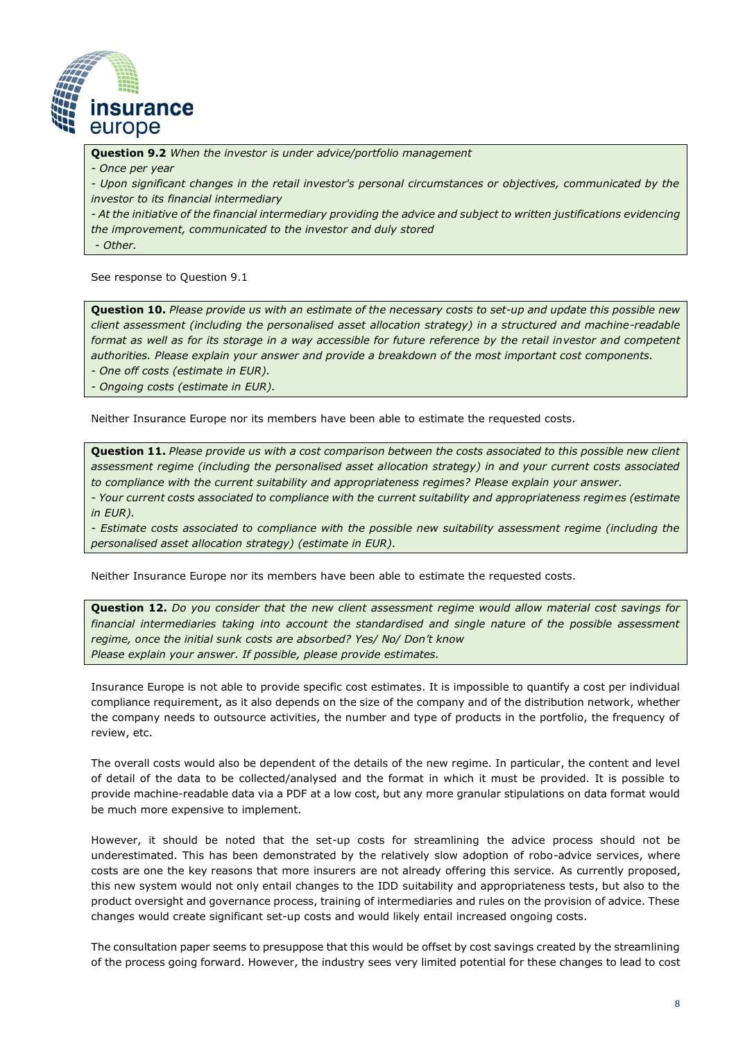

**Question 9.2** *When the investor is under advice/portfolio management* 

*- Once per year*

*- Upon significant changes in the retail investor's personal circumstances or objectives, communicated by the investor to its financial intermediary*

*- At the initiative of the financial intermediary providing the advice and subject to written justifications evidencing the improvement, communicated to the investor and duly stored*

*- Other.*

See response to Question 9.1

**Question 10.** *Please provide us with an estimate of the necessary costs to set-up and update this possible new client assessment (including the personalised asset allocation strategy) in a structured and machine-readable*  format as well as for its storage in a way accessible for future reference by the retail investor and competent *authorities. Please explain your answer and provide a breakdown of the most important cost components.*

*- One off costs (estimate in EUR).*

*- Ongoing costs (estimate in EUR).*

Neither Insurance Europe nor its members have been able to estimate the requested costs.

**Question 11.** *Please provide us with a cost comparison between the costs associated to this possible new client assessment regime (including the personalised asset allocation strategy) in and your current costs associated to compliance with the current suitability and appropriateness regimes? Please explain your answer. - Your current costs associated to compliance with the current suitability and appropriateness regimes (estimate in EUR).*

*- Estimate costs associated to compliance with the possible new suitability assessment regime (including the personalised asset allocation strategy) (estimate in EUR).*

Neither Insurance Europe nor its members have been able to estimate the requested costs.

**Question 12.** *Do you consider that the new client assessment regime would allow material cost savings for financial intermediaries taking into account the standardised and single nature of the possible assessment regime, once the initial sunk costs are absorbed? Yes/ No/ Don't know Please explain your answer. If possible, please provide estimates.*

Insurance Europe is not able to provide specific cost estimates. It is impossible to quantify a cost per individual compliance requirement, as it also depends on the size of the company and of the distribution network, whether the company needs to outsource activities, the number and type of products in the portfolio, the frequency of review, etc.

The overall costs would also be dependent of the details of the new regime. In particular, the content and level of detail of the data to be collected/analysed and the format in which it must be provided. It is possible to provide machine-readable data via a PDF at a low cost, but any more granular stipulations on data format would be much more expensive to implement.

However, it should be noted that the set-up costs for streamlining the advice process should not be underestimated. This has been demonstrated by the relatively slow adoption of robo-advice services, where costs are one the key reasons that more insurers are not already offering this service. As currently proposed, this new system would not only entail changes to the IDD suitability and appropriateness tests, but also to the product oversight and governance process, training of intermediaries and rules on the provision of advice. These changes would create significant set-up costs and would likely entail increased ongoing costs.

The consultation paper seems to presuppose that this would be offset by cost savings created by the streamlining of the process going forward. However, the industry sees very limited potential for these changes to lead to cost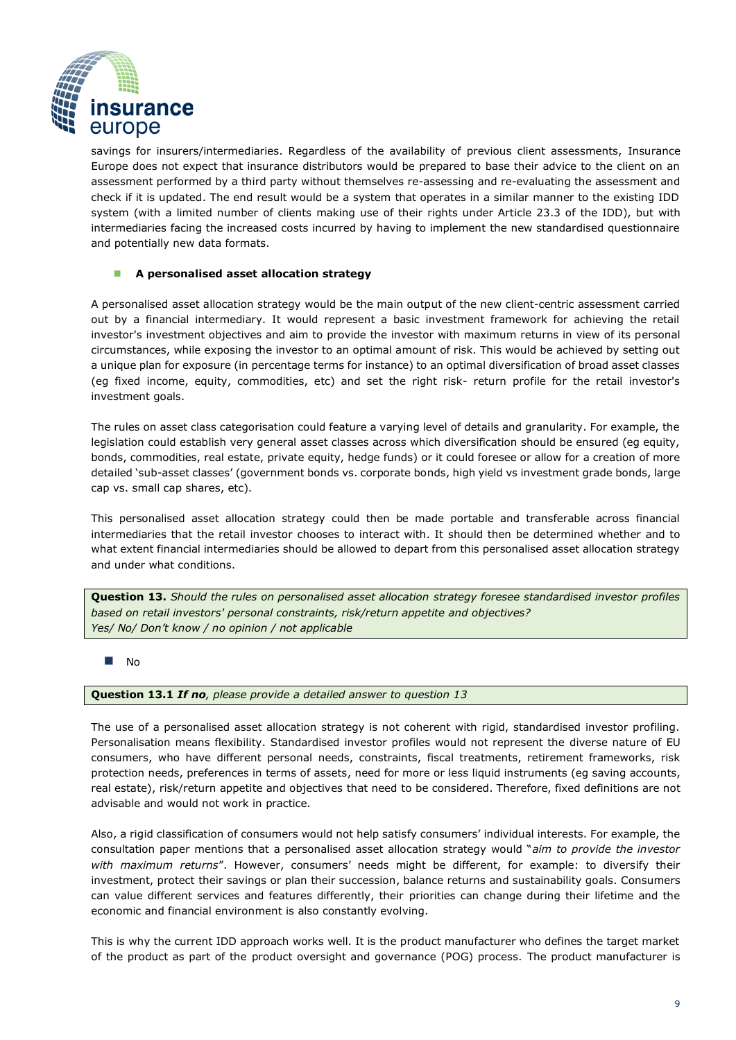

savings for insurers/intermediaries. Regardless of the availability of previous client assessments, Insurance Europe does not expect that insurance distributors would be prepared to base their advice to the client on an assessment performed by a third party without themselves re-assessing and re-evaluating the assessment and check if it is updated. The end result would be a system that operates in a similar manner to the existing IDD system (with a limited number of clients making use of their rights under Article 23.3 of the IDD), but with intermediaries facing the increased costs incurred by having to implement the new standardised questionnaire and potentially new data formats.

#### ◼ **A personalised asset allocation strategy**

A personalised asset allocation strategy would be the main output of the new client-centric assessment carried out by a financial intermediary. It would represent a basic investment framework for achieving the retail investor's investment objectives and aim to provide the investor with maximum returns in view of its personal circumstances, while exposing the investor to an optimal amount of risk. This would be achieved by setting out a unique plan for exposure (in percentage terms for instance) to an optimal diversification of broad asset classes (eg fixed income, equity, commodities, etc) and set the right risk- return profile for the retail investor's investment goals.

The rules on asset class categorisation could feature a varying level of details and granularity. For example, the legislation could establish very general asset classes across which diversification should be ensured (eg equity, bonds, commodities, real estate, private equity, hedge funds) or it could foresee or allow for a creation of more detailed 'sub-asset classes' (government bonds vs. corporate bonds, high yield vs investment grade bonds, large cap vs. small cap shares, etc).

This personalised asset allocation strategy could then be made portable and transferable across financial intermediaries that the retail investor chooses to interact with. It should then be determined whether and to what extent financial intermediaries should be allowed to depart from this personalised asset allocation strategy and under what conditions.

**Question 13.** *Should the rules on personalised asset allocation strategy foresee standardised investor profiles based on retail investors' personal constraints, risk/return appetite and objectives? Yes/ No/ Don't know / no opinion / not applicable*

#### $N<sub>0</sub>$

**Question 13.1** *If no, please provide a detailed answer to question 13*

The use of a personalised asset allocation strategy is not coherent with rigid, standardised investor profiling. Personalisation means flexibility. Standardised investor profiles would not represent the diverse nature of EU consumers, who have different personal needs, constraints, fiscal treatments, retirement frameworks, risk protection needs, preferences in terms of assets, need for more or less liquid instruments (eg saving accounts, real estate), risk/return appetite and objectives that need to be considered. Therefore, fixed definitions are not advisable and would not work in practice.

Also, a rigid classification of consumers would not help satisfy consumers' individual interests. For example, the consultation paper mentions that a personalised asset allocation strategy would "*aim to provide the investor with maximum returns*". However, consumers' needs might be different, for example: to diversify their investment, protect their savings or plan their succession, balance returns and sustainability goals. Consumers can value different services and features differently, their priorities can change during their lifetime and the economic and financial environment is also constantly evolving.

This is why the current IDD approach works well. It is the product manufacturer who defines the target market of the product as part of the product oversight and governance (POG) process. The product manufacturer is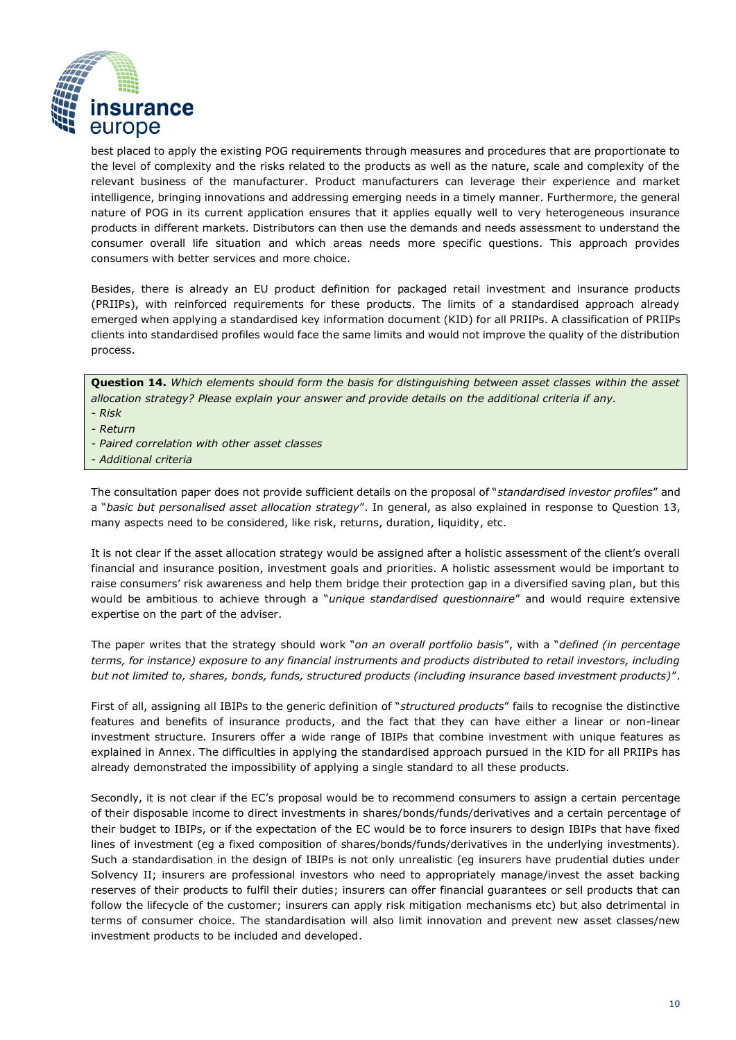

best placed to apply the existing POG requirements through measures and procedures that are proportionate to the level of complexity and the risks related to the products as well as the nature, scale and complexity of the relevant business of the manufacturer. Product manufacturers can leverage their experience and market intelligence, bringing innovations and addressing emerging needs in a timely manner. Furthermore, the general nature of POG in its current application ensures that it applies equally well to very heterogeneous insurance products in different markets. Distributors can then use the demands and needs assessment to understand the consumer overall life situation and which areas needs more specific questions. This approach provides consumers with better services and more choice.

Besides, there is already an EU product definition for packaged retail investment and insurance products (PRIIPs), with reinforced requirements for these products. The limits of a standardised approach already emerged when applying a standardised key information document (KID) for all PRIIPs. A classification of PRIIPs clients into standardised profiles would face the same limits and would not improve the quality of the distribution process.

**Question 14.** *Which elements should form the basis for distinguishing between asset classes within the asset allocation strategy? Please explain your answer and provide details on the additional criteria if any.*

- *- Risk*
- *- Return*
- *- Paired correlation with other asset classes*
- *- Additional criteria*

The consultation paper does not provide sufficient details on the proposal of "*standardised investor profiles*" and a "*basic but personalised asset allocation strategy*". In general, as also explained in response to Question 13, many aspects need to be considered, like risk, returns, duration, liquidity, etc.

It is not clear if the asset allocation strategy would be assigned after a holistic assessment of the client's overall financial and insurance position, investment goals and priorities. A holistic assessment would be important to raise consumers' risk awareness and help them bridge their protection gap in a diversified saving plan, but this would be ambitious to achieve through a "*unique standardised questionnaire*" and would require extensive expertise on the part of the adviser.

The paper writes that the strategy should work "*on an overall portfolio basis*", with a "*defined (in percentage terms, for instance) exposure to any financial instruments and products distributed to retail investors, including but not limited to, shares, bonds, funds, structured products (including insurance based investment products)*".

First of all, assigning all IBIPs to the generic definition of "*structured products*" fails to recognise the distinctive features and benefits of insurance products, and the fact that they can have either a linear or non-linear investment structure. Insurers offer a wide range of IBIPs that combine investment with unique features as explained in Annex. The difficulties in applying the standardised approach pursued in the KID for all PRIIPs has already demonstrated the impossibility of applying a single standard to all these products.

Secondly, it is not clear if the EC's proposal would be to recommend consumers to assign a certain percentage of their disposable income to direct investments in shares/bonds/funds/derivatives and a certain percentage of their budget to IBIPs, or if the expectation of the EC would be to force insurers to design IBIPs that have fixed lines of investment (eg a fixed composition of shares/bonds/funds/derivatives in the underlying investments). Such a standardisation in the design of IBIPs is not only unrealistic (eg insurers have prudential duties under Solvency II; insurers are professional investors who need to appropriately manage/invest the asset backing reserves of their products to fulfil their duties; insurers can offer financial guarantees or sell products that can follow the lifecycle of the customer; insurers can apply risk mitigation mechanisms etc) but also detrimental in terms of consumer choice. The standardisation will also limit innovation and prevent new asset classes/new investment products to be included and developed.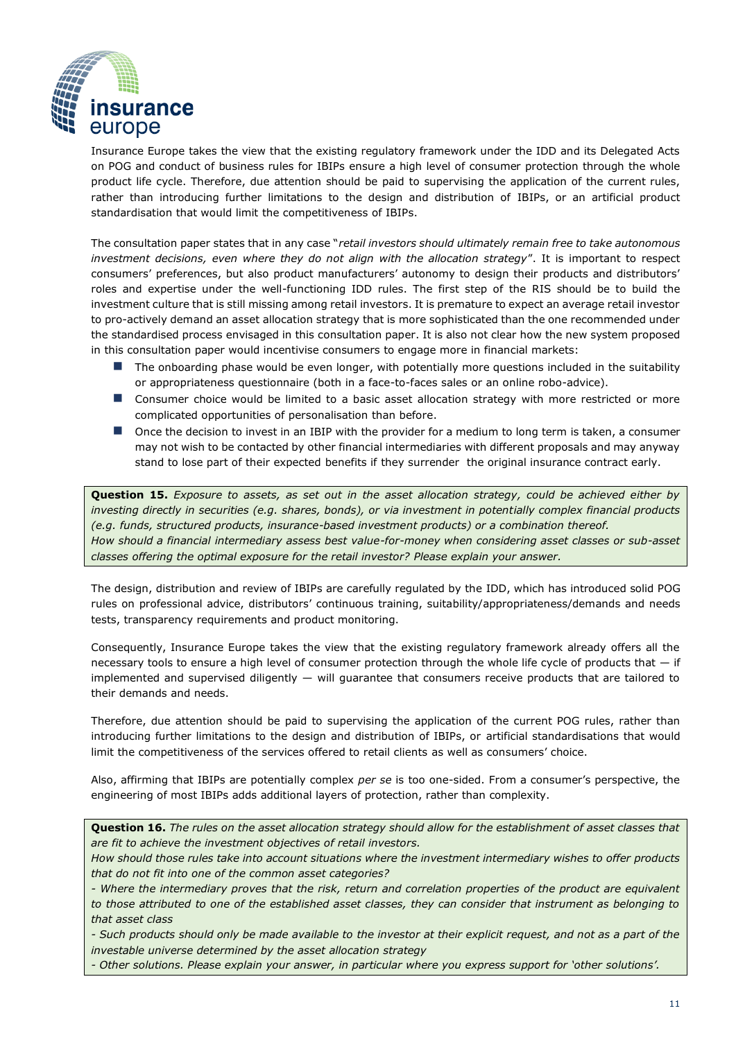

Insurance Europe takes the view that the existing regulatory framework under the IDD and its Delegated Acts on POG and conduct of business rules for IBIPs ensure a high level of consumer protection through the whole product life cycle. Therefore, due attention should be paid to supervising the application of the current rules, rather than introducing further limitations to the design and distribution of IBIPs, or an artificial product standardisation that would limit the competitiveness of IBIPs.

The consultation paper states that in any case "*retail investors should ultimately remain free to take autonomous investment decisions, even where they do not align with the allocation strategy*". It is important to respect consumers' preferences, but also product manufacturers' autonomy to design their products and distributors' roles and expertise under the well-functioning IDD rules. The first step of the RIS should be to build the investment culture that is still missing among retail investors. It is premature to expect an average retail investor to pro-actively demand an asset allocation strategy that is more sophisticated than the one recommended under the standardised process envisaged in this consultation paper. It is also not clear how the new system proposed in this consultation paper would incentivise consumers to engage more in financial markets:

- The onboarding phase would be even longer, with potentially more questions included in the suitability or appropriateness questionnaire (both in a face-to-faces sales or an online robo-advice).
- Consumer choice would be limited to a basic asset allocation strategy with more restricted or more complicated opportunities of personalisation than before.
- Once the decision to invest in an IBIP with the provider for a medium to long term is taken, a consumer may not wish to be contacted by other financial intermediaries with different proposals and may anyway stand to lose part of their expected benefits if they surrender the original insurance contract early.

**Question 15.** *Exposure to assets, as set out in the asset allocation strategy, could be achieved either by investing directly in securities (e.g. shares, bonds), or via investment in potentially complex financial products (e.g. funds, structured products, insurance-based investment products) or a combination thereof. How should a financial intermediary assess best value-for-money when considering asset classes or sub-asset classes offering the optimal exposure for the retail investor? Please explain your answer.*

The design, distribution and review of IBIPs are carefully regulated by the IDD, which has introduced solid POG rules on professional advice, distributors' continuous training, suitability/appropriateness/demands and needs tests, transparency requirements and product monitoring.

Consequently, Insurance Europe takes the view that the existing regulatory framework already offers all the necessary tools to ensure a high level of consumer protection through the whole life cycle of products that  $-$  if implemented and supervised diligently  $-$  will guarantee that consumers receive products that are tailored to their demands and needs.

Therefore, due attention should be paid to supervising the application of the current POG rules, rather than introducing further limitations to the design and distribution of IBIPs, or artificial standardisations that would limit the competitiveness of the services offered to retail clients as well as consumers' choice.

Also, affirming that IBIPs are potentially complex *per se* is too one-sided. From a consumer's perspective, the engineering of most IBIPs adds additional layers of protection, rather than complexity.

**Question 16.** *The rules on the asset allocation strategy should allow for the establishment of asset classes that are fit to achieve the investment objectives of retail investors.*

*How should those rules take into account situations where the investment intermediary wishes to offer products that do not fit into one of the common asset categories?*

*- Where the intermediary proves that the risk, return and correlation properties of the product are equivalent to those attributed to one of the established asset classes, they can consider that instrument as belonging to that asset class*

*- Such products should only be made available to the investor at their explicit request, and not as a part of the investable universe determined by the asset allocation strategy*

*- Other solutions. Please explain your answer, in particular where you express support for 'other solutions'.*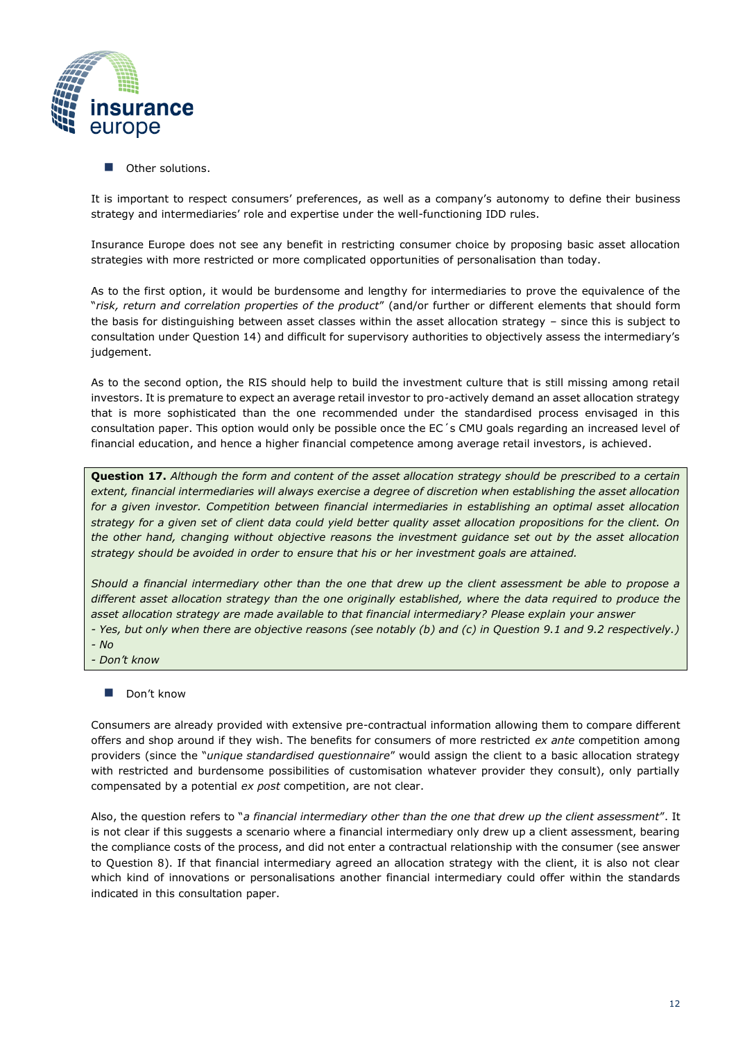

■ Other solutions.

It is important to respect consumers' preferences, as well as a company's autonomy to define their business strategy and intermediaries' role and expertise under the well-functioning IDD rules.

Insurance Europe does not see any benefit in restricting consumer choice by proposing basic asset allocation strategies with more restricted or more complicated opportunities of personalisation than today.

As to the first option, it would be burdensome and lengthy for intermediaries to prove the equivalence of the "*risk, return and correlation properties of the product*" (and/or further or different elements that should form the basis for distinguishing between asset classes within the asset allocation strategy – since this is subject to consultation under Question 14) and difficult for supervisory authorities to objectively assess the intermediary's judgement.

As to the second option, the RIS should help to build the investment culture that is still missing among retail investors. It is premature to expect an average retail investor to pro-actively demand an asset allocation strategy that is more sophisticated than the one recommended under the standardised process envisaged in this consultation paper. This option would only be possible once the EC´s CMU goals regarding an increased level of financial education, and hence a higher financial competence among average retail investors, is achieved.

**Question 17.** *Although the form and content of the asset allocation strategy should be prescribed to a certain extent, financial intermediaries will always exercise a degree of discretion when establishing the asset allocation*  for a given investor. Competition between financial intermediaries in establishing an optimal asset allocation *strategy for a given set of client data could yield better quality asset allocation propositions for the client. On the other hand, changing without objective reasons the investment guidance set out by the asset allocation strategy should be avoided in order to ensure that his or her investment goals are attained.*

*Should a financial intermediary other than the one that drew up the client assessment be able to propose a different asset allocation strategy than the one originally established, where the data required to produce the asset allocation strategy are made available to that financial intermediary? Please explain your answer*

*- Yes, but only when there are objective reasons (see notably (b) and (c) in Question 9.1 and 9.2 respectively.) - No*

- *- Don't know*
	- Don't know

Consumers are already provided with extensive pre-contractual information allowing them to compare different offers and shop around if they wish. The benefits for consumers of more restricted *ex ante* competition among providers (since the "*unique standardised questionnaire*" would assign the client to a basic allocation strategy with restricted and burdensome possibilities of customisation whatever provider they consult), only partially compensated by a potential *ex post* competition, are not clear.

Also, the question refers to "*a financial intermediary other than the one that drew up the client assessment*". It is not clear if this suggests a scenario where a financial intermediary only drew up a client assessment, bearing the compliance costs of the process, and did not enter a contractual relationship with the consumer (see answer to Question 8). If that financial intermediary agreed an allocation strategy with the client, it is also not clear which kind of innovations or personalisations another financial intermediary could offer within the standards indicated in this consultation paper.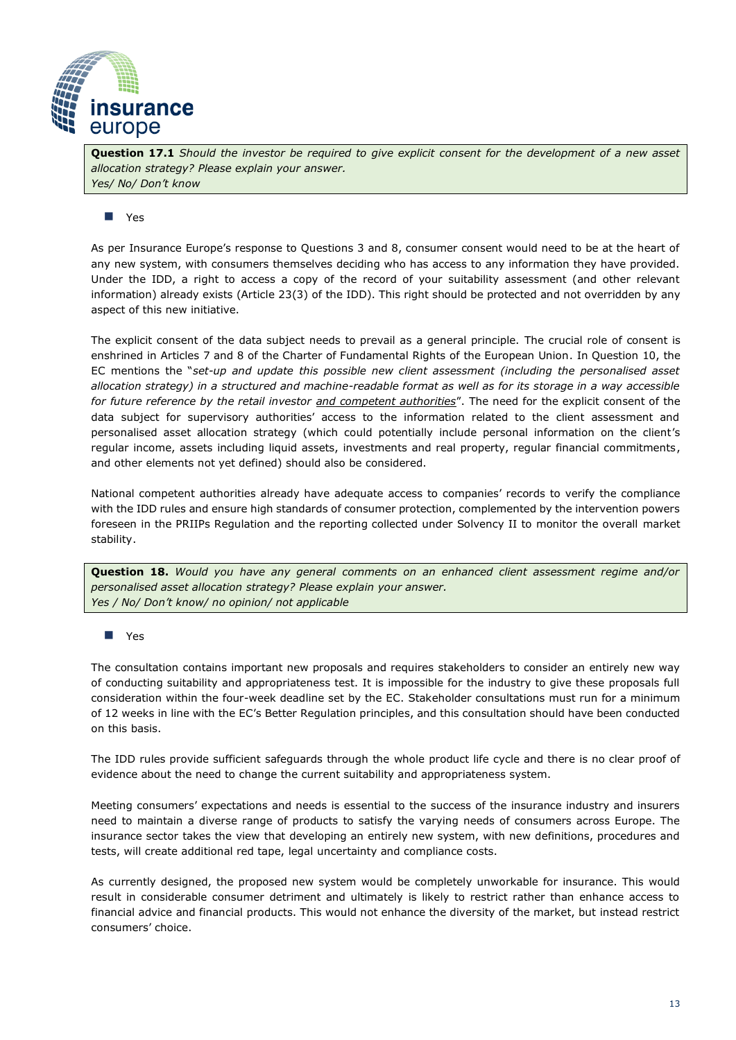

**Question 17.1** *Should the investor be required to give explicit consent for the development of a new asset allocation strategy? Please explain your answer. Yes/ No/ Don't know*

### ◼ Yes

As per Insurance Europe's response to Questions 3 and 8, consumer consent would need to be at the heart of any new system, with consumers themselves deciding who has access to any information they have provided. Under the IDD, a right to access a copy of the record of your suitability assessment (and other relevant information) already exists (Article 23(3) of the IDD). This right should be protected and not overridden by any aspect of this new initiative.

The explicit consent of the data subject needs to prevail as a general principle. The crucial role of consent is enshrined in Articles 7 and 8 of the Charter of Fundamental Rights of the European Union. In Question 10, the EC mentions the "*set-up and update this possible new client assessment (including the personalised asset allocation strategy) in a structured and machine-readable format as well as for its storage in a way accessible for future reference by the retail investor and competent authorities*". The need for the explicit consent of the data subject for supervisory authorities' access to the information related to the client assessment and personalised asset allocation strategy (which could potentially include personal information on the client's regular income, assets including liquid assets, investments and real property, regular financial commitments, and other elements not yet defined) should also be considered.

National competent authorities already have adequate access to companies' records to verify the compliance with the IDD rules and ensure high standards of consumer protection, complemented by the intervention powers foreseen in the PRIIPs Regulation and the reporting collected under Solvency II to monitor the overall market stability.

**Question 18.** *Would you have any general comments on an enhanced client assessment regime and/or personalised asset allocation strategy? Please explain your answer. Yes / No/ Don't know/ no opinion/ not applicable*

#### ◼ Yes

The consultation contains important new proposals and requires stakeholders to consider an entirely new way of conducting suitability and appropriateness test. It is impossible for the industry to give these proposals full consideration within the four-week deadline set by the EC. Stakeholder consultations must run for a minimum of 12 weeks in line with the EC's Better Regulation principles, and this consultation should have been conducted on this basis.

The IDD rules provide sufficient safeguards through the whole product life cycle and there is no clear proof of evidence about the need to change the current suitability and appropriateness system.

Meeting consumers' expectations and needs is essential to the success of the insurance industry and insurers need to maintain a diverse range of products to satisfy the varying needs of consumers across Europe. The insurance sector takes the view that developing an entirely new system, with new definitions, procedures and tests, will create additional red tape, legal uncertainty and compliance costs.

As currently designed, the proposed new system would be completely unworkable for insurance. This would result in considerable consumer detriment and ultimately is likely to restrict rather than enhance access to financial advice and financial products. This would not enhance the diversity of the market, but instead restrict consumers' choice.